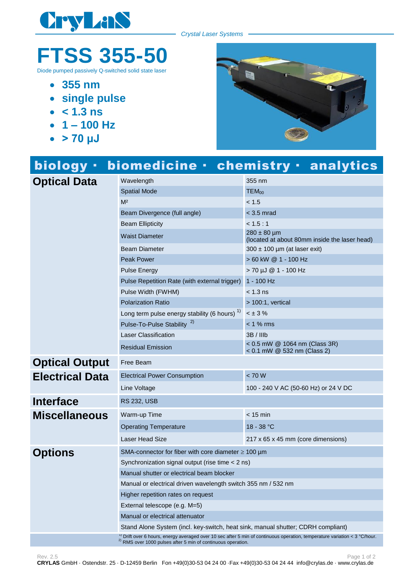

*Crystal Laser Systems*

## **FTSS 355-50**

Diode pumped passively Q-switched solid state laser

- **355 nm**
- **single pulse**
- $\cdot$  < 1.3 **ns**
- $-1 100$  Hz
- **> 70 μJ**



| biology ·              |                                                                                                                                                                                                            | biomedicine · chemistry · analytics                              |
|------------------------|------------------------------------------------------------------------------------------------------------------------------------------------------------------------------------------------------------|------------------------------------------------------------------|
| <b>Optical Data</b>    | Wavelength                                                                                                                                                                                                 | 355 nm                                                           |
|                        | <b>Spatial Mode</b>                                                                                                                                                                                        | $TEM_{00}$                                                       |
|                        | M <sup>2</sup>                                                                                                                                                                                             | < 1.5                                                            |
|                        | Beam Divergence (full angle)                                                                                                                                                                               | $<$ 3.5 mrad                                                     |
|                        | <b>Beam Ellipticity</b>                                                                                                                                                                                    | < 1.5:1                                                          |
|                        | <b>Waist Diameter</b>                                                                                                                                                                                      | $280 \pm 80$ µm<br>(located at about 80mm inside the laser head) |
|                        | <b>Beam Diameter</b>                                                                                                                                                                                       | $300 \pm 100$ µm (at laser exit)                                 |
|                        | <b>Peak Power</b>                                                                                                                                                                                          | > 60 kW @ 1 - 100 Hz                                             |
|                        | <b>Pulse Energy</b>                                                                                                                                                                                        | > 70 µJ @ 1 - 100 Hz                                             |
|                        | Pulse Repetition Rate (with external trigger)                                                                                                                                                              | 1 - 100 Hz                                                       |
|                        | Pulse Width (FWHM)                                                                                                                                                                                         | < 1.3 ns                                                         |
|                        | <b>Polarization Ratio</b>                                                                                                                                                                                  | $> 100:1$ , vertical                                             |
|                        | Long term pulse energy stability (6 hours) <sup>1)</sup>                                                                                                                                                   | $< \pm 3\%$                                                      |
|                        | Pulse-To-Pulse Stability <sup>2)</sup>                                                                                                                                                                     | $< 1 %$ rms                                                      |
|                        | <b>Laser Classification</b>                                                                                                                                                                                | 3B / IIIb                                                        |
|                        | <b>Residual Emission</b>                                                                                                                                                                                   | < 0.5 mW @ 1064 nm (Class 3R)<br>< 0.1 mW @ 532 nm (Class 2)     |
| <b>Optical Output</b>  | Free Beam                                                                                                                                                                                                  |                                                                  |
| <b>Electrical Data</b> | <b>Electrical Power Consumption</b>                                                                                                                                                                        | < 70 W                                                           |
|                        | Line Voltage                                                                                                                                                                                               | 100 - 240 V AC (50-60 Hz) or 24 V DC                             |
| <b>Interface</b>       | <b>RS 232, USB</b>                                                                                                                                                                                         |                                                                  |
| <b>Miscellaneous</b>   | Warm-up Time                                                                                                                                                                                               | $< 15$ min                                                       |
|                        | <b>Operating Temperature</b>                                                                                                                                                                               | 18 - 38 °C                                                       |
|                        | <b>Laser Head Size</b>                                                                                                                                                                                     | 217 x 65 x 45 mm (core dimensions)                               |
| <b>Options</b>         | SMA-connector for fiber with core diameter $\geq 100 \ \mu m$                                                                                                                                              |                                                                  |
|                        | Synchronization signal output (rise time < 2 ns)                                                                                                                                                           |                                                                  |
|                        | Manual shutter or electrical beam blocker                                                                                                                                                                  |                                                                  |
|                        | Manual or electrical driven wavelength switch 355 nm / 532 nm                                                                                                                                              |                                                                  |
|                        | Higher repetition rates on request                                                                                                                                                                         |                                                                  |
|                        | External telescope (e.g. M=5)                                                                                                                                                                              |                                                                  |
|                        | Manual or electrical attenuator                                                                                                                                                                            |                                                                  |
|                        | Stand Alone System (incl. key-switch, heat sink, manual shutter; CDRH compliant)                                                                                                                           |                                                                  |
|                        | <sup>1)</sup> Drift over 6 hours, energy averaged over 10 sec after 5 min of continuous operation, temperature variation < 3 °C/hour.<br>$^{2)}$ RMS over 1000 pulses after 5 min of continuous operation. |                                                                  |